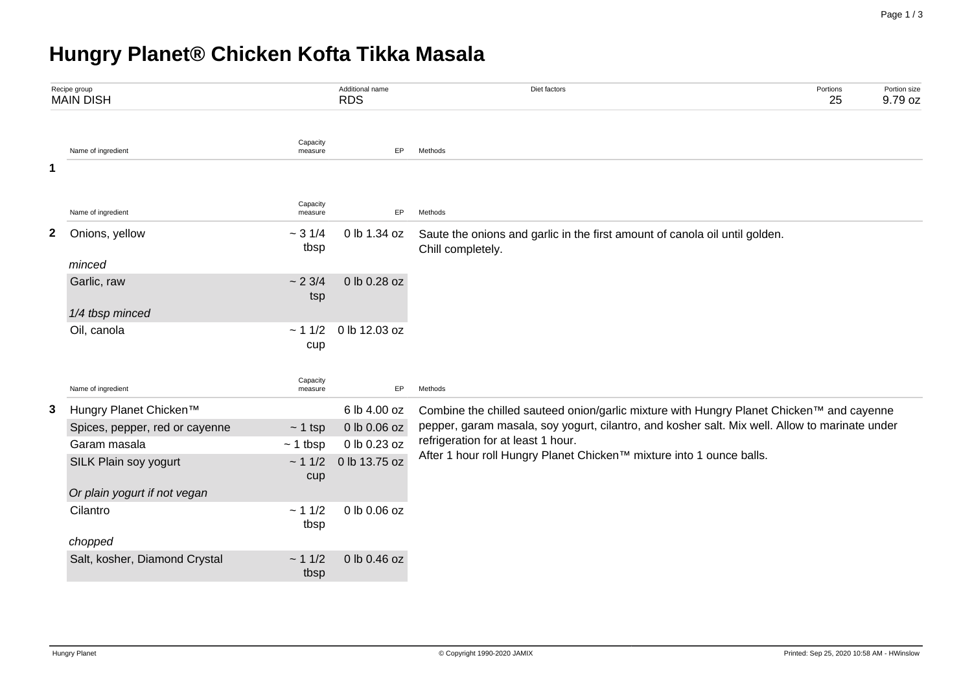# **Hungry Planet® Chicken Kofta Tikka Masala**

|              | Recipe group<br><b>MAIN DISH</b> |                     | Additional name<br><b>RDS</b> | Diet factors                                                                                               | Portions<br>25 | Portion size<br>9.79 oz |  |  |  |  |  |
|--------------|----------------------------------|---------------------|-------------------------------|------------------------------------------------------------------------------------------------------------|----------------|-------------------------|--|--|--|--|--|
|              | Name of ingredient               | Capacity<br>measure | EP                            | Methods                                                                                                    |                |                         |  |  |  |  |  |
| 1            |                                  |                     |                               |                                                                                                            |                |                         |  |  |  |  |  |
|              | Name of ingredient               | Capacity<br>measure | EP                            | Methods                                                                                                    |                |                         |  |  |  |  |  |
| $\mathbf{2}$ | Onions, yellow                   | ~1/4<br>tbsp        | 0 lb 1.34 oz                  | Saute the onions and garlic in the first amount of canola oil until golden.<br>Chill completely.           |                |                         |  |  |  |  |  |
|              | minced                           |                     |                               |                                                                                                            |                |                         |  |  |  |  |  |
|              | Garlic, raw                      | ~23/4<br>tsp        | 0 lb 0.28 oz                  |                                                                                                            |                |                         |  |  |  |  |  |
|              | 1/4 tbsp minced                  |                     |                               |                                                                                                            |                |                         |  |  |  |  |  |
|              | Oil, canola                      | ~11/2<br>cup        | 0 lb 12.03 oz                 |                                                                                                            |                |                         |  |  |  |  |  |
|              | Name of ingredient               | Capacity<br>measure | EP                            | Methods                                                                                                    |                |                         |  |  |  |  |  |
| 3            | Hungry Planet Chicken™           |                     | 6 lb 4.00 oz                  | Combine the chilled sauteed onion/garlic mixture with Hungry Planet Chicken™ and cayenne                   |                |                         |  |  |  |  |  |
|              | Spices, pepper, red or cayenne   | $~1$ tsp            | 0 lb 0.06 oz                  | pepper, garam masala, soy yogurt, cilantro, and kosher salt. Mix well. Allow to marinate under             |                |                         |  |  |  |  |  |
|              | Garam masala                     | $~1$ tbsp           | 0 lb 0.23 oz                  | refrigeration for at least 1 hour.<br>After 1 hour roll Hungry Planet Chicken™ mixture into 1 ounce balls. |                |                         |  |  |  |  |  |
|              | SILK Plain soy yogurt            | ~11/2<br>cup        | 0 lb 13.75 oz                 |                                                                                                            |                |                         |  |  |  |  |  |
|              | Or plain yogurt if not vegan     |                     |                               |                                                                                                            |                |                         |  |  |  |  |  |
|              | Cilantro                         | ~11/2<br>tbsp       | 0 lb 0.06 oz                  |                                                                                                            |                |                         |  |  |  |  |  |
|              | chopped                          |                     |                               |                                                                                                            |                |                         |  |  |  |  |  |
|              | Salt, kosher, Diamond Crystal    | ~11/2<br>tbsp       | 0 lb 0.46 oz                  |                                                                                                            |                |                         |  |  |  |  |  |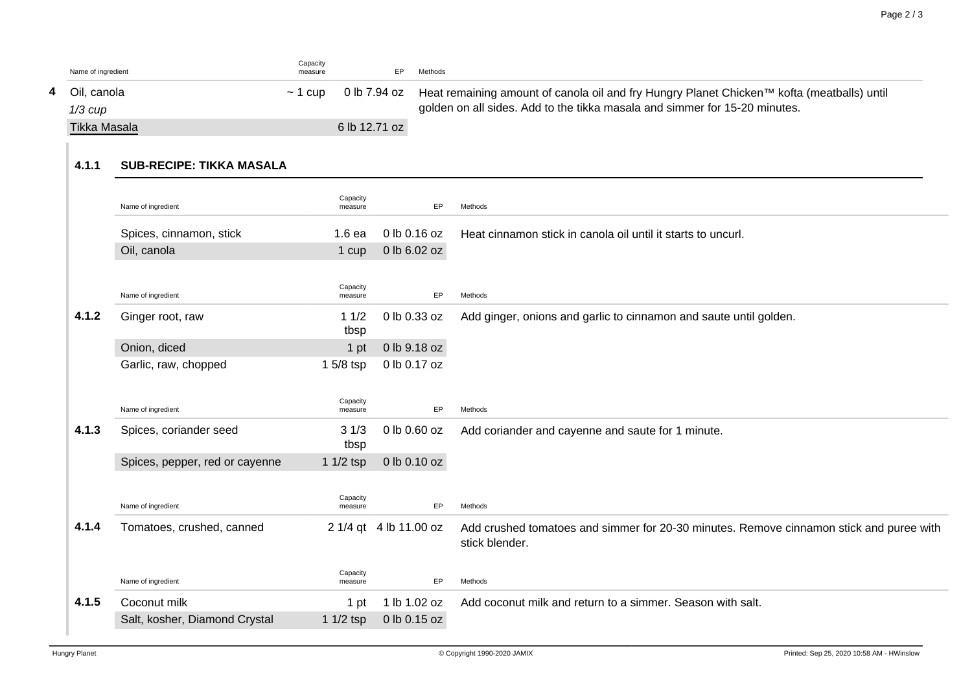| Name of ingredient | Capacity<br>measure |               | Methods                                                                                                 |
|--------------------|---------------------|---------------|---------------------------------------------------------------------------------------------------------|
| 4 Oil. canola      | $\sim$ 1 cup        |               | 0 lb 7.94 oz Heat remaining amount of canola oil and fry Hungry Planet Chicken™ kofta (meatballs) until |
| $1/3$ $cupp$       |                     |               | golden on all sides. Add to the tikka masala and simmer for 15-20 minutes.                              |
| Tikka Masala       |                     | 6 lb 12.71 oz |                                                                                                         |

## **4.1.1 SUB-RECIPE: TIKKA MASALA**

| Spices, cinnamon, stick<br>0 lb 0.16 oz<br>$1.6$ ea<br>Heat cinnamon stick in canola oil until it starts to uncurl.<br>Oil, canola<br>0 lb 6.02 oz<br>1 cup<br>Capacity<br>Name of ingredient<br>EP<br>measure<br>Methods<br>4.1.2<br>11/2<br>Ginger root, raw<br>0 lb 0.33 oz<br>Add ginger, onions and garlic to cinnamon and saute until golden.<br>tbsp<br>Onion, diced<br>0 lb 9.18 oz<br>1 pt<br>$15/8$ tsp<br>0 lb 0.17 oz<br>Garlic, raw, chopped<br>Capacity<br>Name of ingredient<br>EP<br>Methods<br>measure<br>4.1.3<br>Spices, coriander seed<br>31/3<br>0 lb 0.60 oz<br>Add coriander and cayenne and saute for 1 minute.<br>tbsp<br>0 lb 0.10 oz<br>Spices, pepper, red or cayenne<br>1 $1/2$ tsp<br>Capacity<br>Name of ingredient<br>EP<br>Methods<br>measure<br>4.1.4<br>Tomatoes, crushed, canned<br>2 1/4 gt 4 lb 11.00 oz<br>Add crushed tomatoes and simmer for 20-30 minutes. Remove cinnamon stick and puree with<br>stick blender.<br>Capacity<br>EP<br>Name of ingredient<br>Methods<br>measure |       | Name of ingredient | Capacity<br>measure | EP           | Methods                                                    |
|---------------------------------------------------------------------------------------------------------------------------------------------------------------------------------------------------------------------------------------------------------------------------------------------------------------------------------------------------------------------------------------------------------------------------------------------------------------------------------------------------------------------------------------------------------------------------------------------------------------------------------------------------------------------------------------------------------------------------------------------------------------------------------------------------------------------------------------------------------------------------------------------------------------------------------------------------------------------------------------------------------------------------|-------|--------------------|---------------------|--------------|------------------------------------------------------------|
|                                                                                                                                                                                                                                                                                                                                                                                                                                                                                                                                                                                                                                                                                                                                                                                                                                                                                                                                                                                                                           |       |                    |                     |              |                                                            |
|                                                                                                                                                                                                                                                                                                                                                                                                                                                                                                                                                                                                                                                                                                                                                                                                                                                                                                                                                                                                                           |       |                    |                     |              |                                                            |
|                                                                                                                                                                                                                                                                                                                                                                                                                                                                                                                                                                                                                                                                                                                                                                                                                                                                                                                                                                                                                           |       |                    |                     |              |                                                            |
|                                                                                                                                                                                                                                                                                                                                                                                                                                                                                                                                                                                                                                                                                                                                                                                                                                                                                                                                                                                                                           |       |                    |                     |              |                                                            |
|                                                                                                                                                                                                                                                                                                                                                                                                                                                                                                                                                                                                                                                                                                                                                                                                                                                                                                                                                                                                                           |       |                    |                     |              |                                                            |
|                                                                                                                                                                                                                                                                                                                                                                                                                                                                                                                                                                                                                                                                                                                                                                                                                                                                                                                                                                                                                           |       |                    |                     |              |                                                            |
|                                                                                                                                                                                                                                                                                                                                                                                                                                                                                                                                                                                                                                                                                                                                                                                                                                                                                                                                                                                                                           |       |                    |                     |              |                                                            |
|                                                                                                                                                                                                                                                                                                                                                                                                                                                                                                                                                                                                                                                                                                                                                                                                                                                                                                                                                                                                                           |       |                    |                     |              |                                                            |
|                                                                                                                                                                                                                                                                                                                                                                                                                                                                                                                                                                                                                                                                                                                                                                                                                                                                                                                                                                                                                           |       |                    |                     |              |                                                            |
|                                                                                                                                                                                                                                                                                                                                                                                                                                                                                                                                                                                                                                                                                                                                                                                                                                                                                                                                                                                                                           |       |                    |                     |              |                                                            |
|                                                                                                                                                                                                                                                                                                                                                                                                                                                                                                                                                                                                                                                                                                                                                                                                                                                                                                                                                                                                                           |       |                    |                     |              |                                                            |
|                                                                                                                                                                                                                                                                                                                                                                                                                                                                                                                                                                                                                                                                                                                                                                                                                                                                                                                                                                                                                           |       |                    |                     |              |                                                            |
|                                                                                                                                                                                                                                                                                                                                                                                                                                                                                                                                                                                                                                                                                                                                                                                                                                                                                                                                                                                                                           |       |                    |                     |              |                                                            |
|                                                                                                                                                                                                                                                                                                                                                                                                                                                                                                                                                                                                                                                                                                                                                                                                                                                                                                                                                                                                                           |       |                    |                     |              |                                                            |
|                                                                                                                                                                                                                                                                                                                                                                                                                                                                                                                                                                                                                                                                                                                                                                                                                                                                                                                                                                                                                           | 4.1.5 | Coconut milk       | 1 pt                | 1 lb 1.02 oz | Add coconut milk and return to a simmer. Season with salt. |
| Salt, kosher, Diamond Crystal<br>0 lb 0.15 oz<br>1 $1/2$ tsp                                                                                                                                                                                                                                                                                                                                                                                                                                                                                                                                                                                                                                                                                                                                                                                                                                                                                                                                                              |       |                    |                     |              |                                                            |